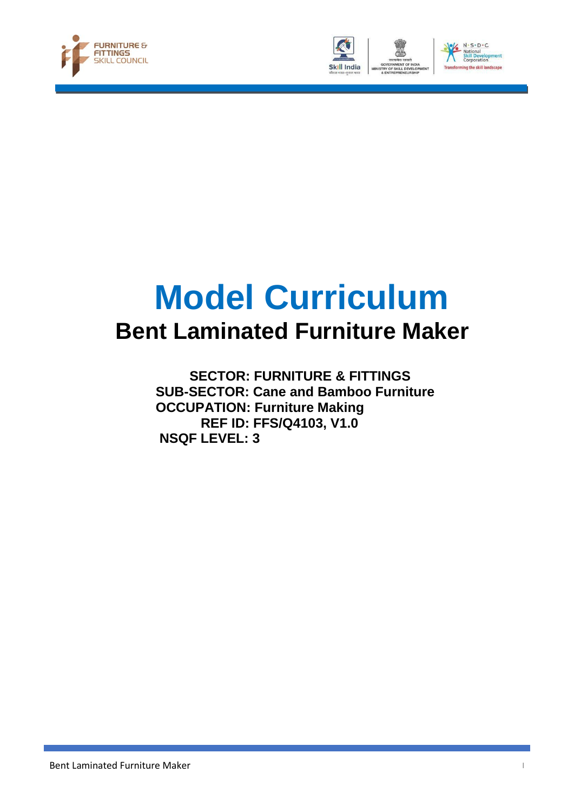





# **Model Curriculum Bent Laminated Furniture Maker**

 **SECTOR: FURNITURE & FITTINGS SUB-SECTOR: Cane and Bamboo Furniture OCCUPATION: Furniture Making REF ID: FFS/Q4103, V1.0 NSQF LEVEL: 3**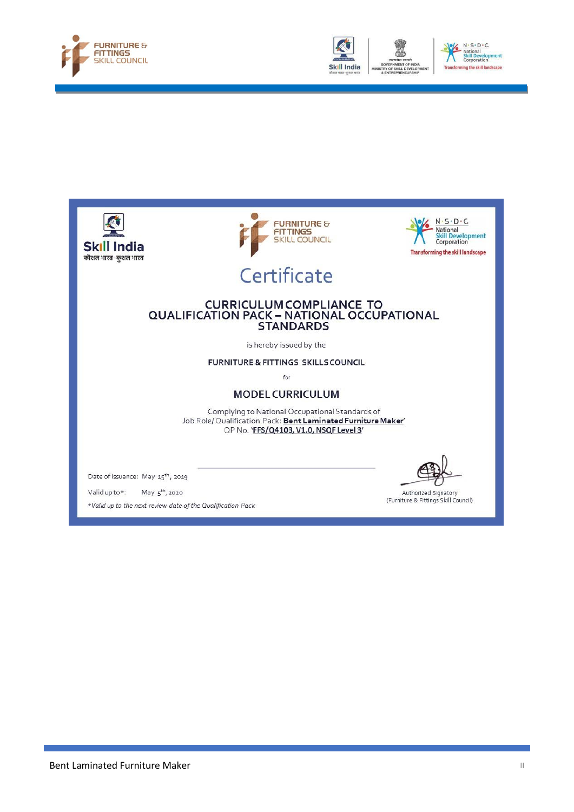





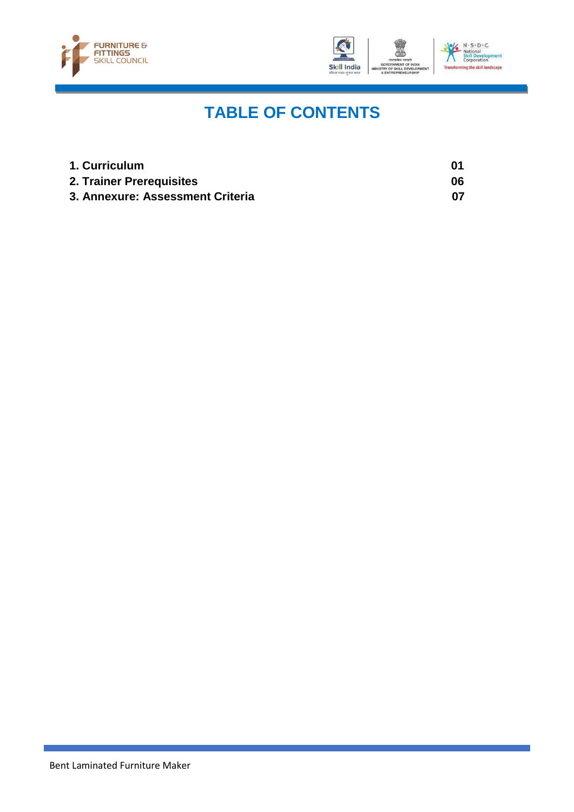



## **TABLE OF CONTENTS**

| 1. Curriculum                    | 01 |
|----------------------------------|----|
| 2. Trainer Prerequisites         | 06 |
| 3. Annexure: Assessment Criteria | 07 |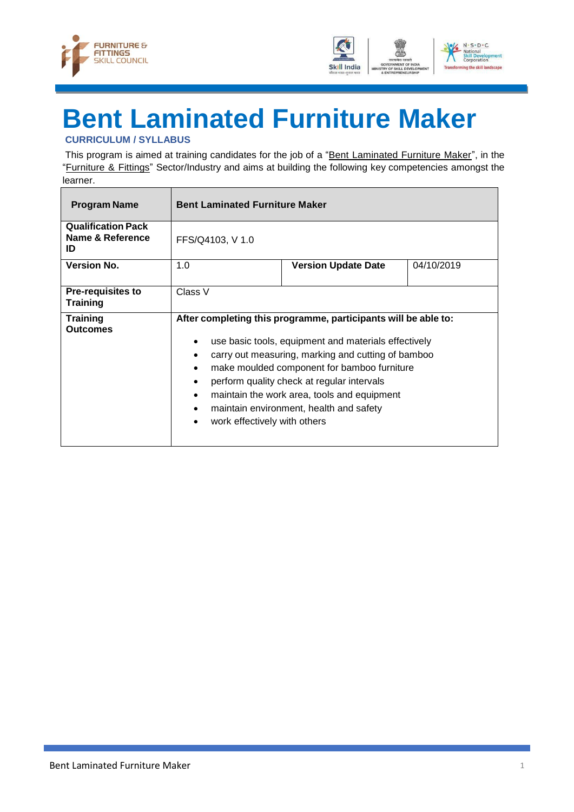



## <span id="page-3-0"></span>**Bent Laminated Furniture Maker CURRICULUM / SYLLABUS**

This program is aimed at training candidates for the job of a "Bent Laminated Furniture Maker", in the "Furniture & Fittings" Sector/Industry and aims at building the following key competencies amongst the learner.

| <b>Program Name</b>                                 | <b>Bent Laminated Furniture Maker</b>                                                                                   |                                                                                                                                                                                                                                                                                                                                                                     |            |
|-----------------------------------------------------|-------------------------------------------------------------------------------------------------------------------------|---------------------------------------------------------------------------------------------------------------------------------------------------------------------------------------------------------------------------------------------------------------------------------------------------------------------------------------------------------------------|------------|
| <b>Qualification Pack</b><br>Name & Reference<br>ID | FFS/Q4103, V 1.0                                                                                                        |                                                                                                                                                                                                                                                                                                                                                                     |            |
| <b>Version No.</b>                                  | 1.0                                                                                                                     | <b>Version Update Date</b>                                                                                                                                                                                                                                                                                                                                          | 04/10/2019 |
| <b>Pre-requisites to</b><br><b>Training</b>         | Class V                                                                                                                 |                                                                                                                                                                                                                                                                                                                                                                     |            |
| <b>Training</b><br><b>Outcomes</b>                  | $\bullet$<br>$\bullet$<br>$\bullet$<br>$\bullet$<br>$\bullet$<br>$\bullet$<br>work effectively with others<br>$\bullet$ | After completing this programme, participants will be able to:<br>use basic tools, equipment and materials effectively<br>carry out measuring, marking and cutting of bamboo<br>make moulded component for bamboo furniture<br>perform quality check at regular intervals<br>maintain the work area, tools and equipment<br>maintain environment, health and safety |            |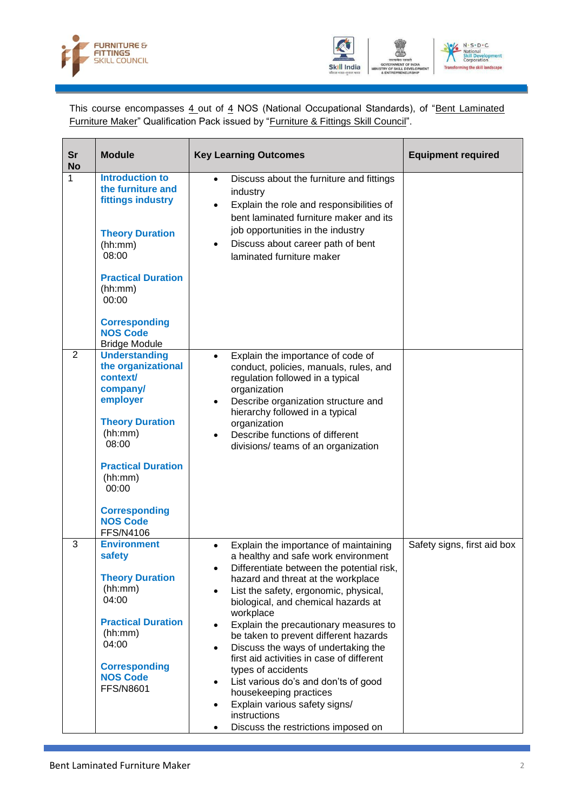



This course encompasses 4 out of 4 NOS (National Occupational Standards), of "Bent Laminated Furniture Maker" Qualification Pack issued by "Furniture & Fittings Skill Council".

| <b>Sr</b><br><b>No</b> | <b>Module</b>                                                                                                                                                                              | <b>Key Learning Outcomes</b>                                                                                                                                                                                                                                                                                                                                                                                                                                                                                                                                                                                    | <b>Equipment required</b>   |
|------------------------|--------------------------------------------------------------------------------------------------------------------------------------------------------------------------------------------|-----------------------------------------------------------------------------------------------------------------------------------------------------------------------------------------------------------------------------------------------------------------------------------------------------------------------------------------------------------------------------------------------------------------------------------------------------------------------------------------------------------------------------------------------------------------------------------------------------------------|-----------------------------|
| 1                      | <b>Introduction to</b><br>the furniture and<br>fittings industry                                                                                                                           | Discuss about the furniture and fittings<br>$\bullet$<br>industry<br>Explain the role and responsibilities of<br>$\bullet$<br>bent laminated furniture maker and its                                                                                                                                                                                                                                                                                                                                                                                                                                            |                             |
|                        | <b>Theory Duration</b><br>(hh:mm)<br>08:00                                                                                                                                                 | job opportunities in the industry<br>Discuss about career path of bent<br>٠<br>laminated furniture maker                                                                                                                                                                                                                                                                                                                                                                                                                                                                                                        |                             |
|                        | <b>Practical Duration</b><br>(hh:mm)<br>00:00                                                                                                                                              |                                                                                                                                                                                                                                                                                                                                                                                                                                                                                                                                                                                                                 |                             |
|                        | <b>Corresponding</b><br><b>NOS Code</b><br><b>Bridge Module</b>                                                                                                                            |                                                                                                                                                                                                                                                                                                                                                                                                                                                                                                                                                                                                                 |                             |
| $\overline{2}$         | <b>Understanding</b><br>the organizational<br>context/<br>company/<br>employer<br><b>Theory Duration</b><br>(hh:mm)<br>08:00                                                               | Explain the importance of code of<br>$\bullet$<br>conduct, policies, manuals, rules, and<br>regulation followed in a typical<br>organization<br>Describe organization structure and<br>$\bullet$<br>hierarchy followed in a typical<br>organization<br>Describe functions of different<br>$\bullet$<br>divisions/ teams of an organization                                                                                                                                                                                                                                                                      |                             |
|                        | <b>Practical Duration</b><br>(hh:mm)<br>00:00                                                                                                                                              |                                                                                                                                                                                                                                                                                                                                                                                                                                                                                                                                                                                                                 |                             |
|                        | <b>Corresponding</b><br><b>NOS Code</b><br><b>FFS/N4106</b>                                                                                                                                |                                                                                                                                                                                                                                                                                                                                                                                                                                                                                                                                                                                                                 |                             |
| 3                      | <b>Environment</b><br>safety<br><b>Theory Duration</b><br>(hh:mm)<br>04:00<br><b>Practical Duration</b><br>(hh:mm)<br>04:00<br><b>Corresponding</b><br><b>NOS Code</b><br><b>FFS/N8601</b> | Explain the importance of maintaining<br>$\bullet$<br>a healthy and safe work environment<br>Differentiate between the potential risk,<br>hazard and threat at the workplace<br>List the safety, ergonomic, physical,<br>biological, and chemical hazards at<br>workplace<br>Explain the precautionary measures to<br>be taken to prevent different hazards<br>Discuss the ways of undertaking the<br>$\bullet$<br>first aid activities in case of different<br>types of accidents<br>List various do's and don'ts of good<br>$\bullet$<br>housekeeping practices<br>Explain various safety signs/<br>$\bullet$ | Safety signs, first aid box |
|                        |                                                                                                                                                                                            | instructions<br>Discuss the restrictions imposed on<br>$\bullet$                                                                                                                                                                                                                                                                                                                                                                                                                                                                                                                                                |                             |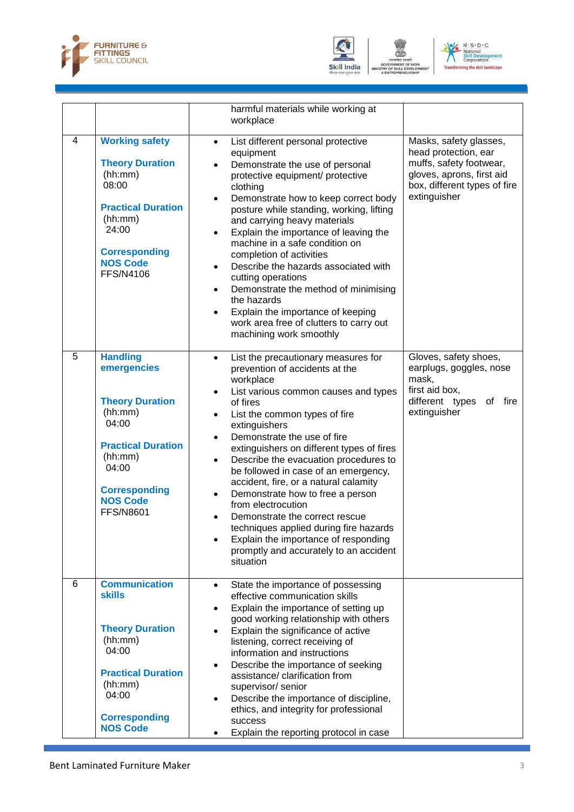



GOVERNMENT O<br>TRY OF SKILL DI<br>& ENTREPRENEI

VELO



|   |                                                                                                                                                                                              | harmful materials while working at<br>workplace                                                                                                                                                                                                                                                                                                                                                                                                                                                                                                                                                                                                                                                      |                                                                                                                                                        |
|---|----------------------------------------------------------------------------------------------------------------------------------------------------------------------------------------------|------------------------------------------------------------------------------------------------------------------------------------------------------------------------------------------------------------------------------------------------------------------------------------------------------------------------------------------------------------------------------------------------------------------------------------------------------------------------------------------------------------------------------------------------------------------------------------------------------------------------------------------------------------------------------------------------------|--------------------------------------------------------------------------------------------------------------------------------------------------------|
| 4 | <b>Working safety</b><br><b>Theory Duration</b><br>(hh:mm)<br>08:00<br><b>Practical Duration</b><br>(hh:mm)<br>24:00<br><b>Corresponding</b><br><b>NOS Code</b><br><b>FFS/N4106</b>          | List different personal protective<br>$\bullet$<br>equipment<br>Demonstrate the use of personal<br>$\bullet$<br>protective equipment/ protective<br>clothing<br>Demonstrate how to keep correct body<br>$\bullet$<br>posture while standing, working, lifting<br>and carrying heavy materials<br>Explain the importance of leaving the<br>$\bullet$<br>machine in a safe condition on<br>completion of activities<br>Describe the hazards associated with<br>$\bullet$<br>cutting operations<br>Demonstrate the method of minimising<br>$\bullet$<br>the hazards<br>Explain the importance of keeping<br>work area free of clutters to carry out<br>machining work smoothly                          | Masks, safety glasses,<br>head protection, ear<br>muffs, safety footwear,<br>gloves, aprons, first aid<br>box, different types of fire<br>extinguisher |
| 5 | <b>Handling</b><br>emergencies<br><b>Theory Duration</b><br>(hh:mm)<br>04:00<br><b>Practical Duration</b><br>(hh:mm)<br>04:00<br><b>Corresponding</b><br><b>NOS Code</b><br><b>FFS/N8601</b> | List the precautionary measures for<br>$\bullet$<br>prevention of accidents at the<br>workplace<br>List various common causes and types<br>$\bullet$<br>of fires<br>List the common types of fire<br>$\bullet$<br>extinguishers<br>Demonstrate the use of fire<br>extinguishers on different types of fires<br>Describe the evacuation procedures to<br>$\bullet$<br>be followed in case of an emergency,<br>accident, fire, or a natural calamity<br>Demonstrate how to free a person<br>$\bullet$<br>from electrocution<br>Demonstrate the correct rescue<br>techniques applied during fire hazards<br>Explain the importance of responding<br>promptly and accurately to an accident<br>situation | Gloves, safety shoes,<br>earplugs, goggles, nose<br>mask,<br>first aid box,<br>different types of fire<br>extinguisher                                 |
| 6 | <b>Communication</b><br><b>skills</b><br><b>Theory Duration</b><br>(hh:mm)<br>04:00<br><b>Practical Duration</b><br>(hh:mm)<br>04:00<br><b>Corresponding</b><br><b>NOS Code</b>              | State the importance of possessing<br>$\bullet$<br>effective communication skills<br>Explain the importance of setting up<br>$\bullet$<br>good working relationship with others<br>Explain the significance of active<br>listening, correct receiving of<br>information and instructions<br>Describe the importance of seeking<br>$\bullet$<br>assistance/ clarification from<br>supervisor/ senior<br>Describe the importance of discipline,<br>ethics, and integrity for professional<br>success<br>Explain the reporting protocol in case                                                                                                                                                         |                                                                                                                                                        |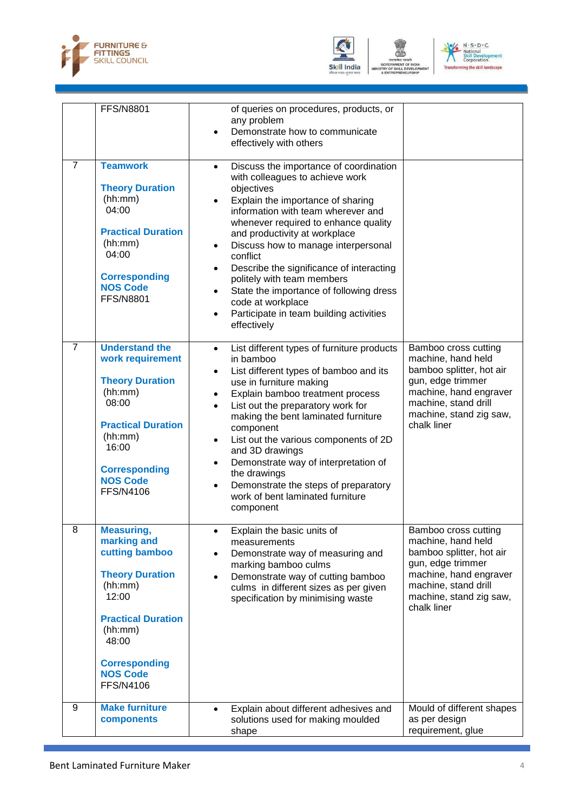



GOVERNMENT O<br>TRY OF SKILL DI<br>& ENTREPRENEI

VELC



|                | <b>FFS/N8801</b>                                                                                                                                                                                                 | of queries on procedures, products, or<br>any problem<br>Demonstrate how to communicate<br>effectively with others                                                                                                                                                                                                                                                                                                                                                                                                                                                               |                                                                                                                                                                                         |
|----------------|------------------------------------------------------------------------------------------------------------------------------------------------------------------------------------------------------------------|----------------------------------------------------------------------------------------------------------------------------------------------------------------------------------------------------------------------------------------------------------------------------------------------------------------------------------------------------------------------------------------------------------------------------------------------------------------------------------------------------------------------------------------------------------------------------------|-----------------------------------------------------------------------------------------------------------------------------------------------------------------------------------------|
| $\overline{7}$ | <b>Teamwork</b><br><b>Theory Duration</b><br>(hh:mm)<br>04:00<br><b>Practical Duration</b><br>(hh:mm)<br>04:00<br><b>Corresponding</b><br><b>NOS Code</b><br><b>FFS/N8801</b>                                    | Discuss the importance of coordination<br>$\bullet$<br>with colleagues to achieve work<br>objectives<br>Explain the importance of sharing<br>$\bullet$<br>information with team wherever and<br>whenever required to enhance quality<br>and productivity at workplace<br>Discuss how to manage interpersonal<br>$\bullet$<br>conflict<br>Describe the significance of interacting<br>$\bullet$<br>politely with team members<br>State the importance of following dress<br>$\bullet$<br>code at workplace<br>Participate in team building activities<br>$\bullet$<br>effectively |                                                                                                                                                                                         |
| $\overline{7}$ | <b>Understand the</b><br>work requirement<br><b>Theory Duration</b><br>(hh:mm)<br>08:00<br><b>Practical Duration</b><br>(hh:mm)<br>16:00<br><b>Corresponding</b><br><b>NOS Code</b><br><b>FFS/N4106</b>          | List different types of furniture products<br>$\bullet$<br>in bamboo<br>List different types of bamboo and its<br>use in furniture making<br>Explain bamboo treatment process<br>List out the preparatory work for<br>making the bent laminated furniture<br>component<br>List out the various components of 2D<br>$\bullet$<br>and 3D drawings<br>Demonstrate way of interpretation of<br>the drawings<br>Demonstrate the steps of preparatory<br>$\bullet$<br>work of bent laminated furniture<br>component                                                                    | Bamboo cross cutting<br>machine, hand held<br>bamboo splitter, hot air<br>gun, edge trimmer<br>machine, hand engraver<br>machine, stand drill<br>machine, stand zig saw,<br>chalk liner |
| 8              | <b>Measuring,</b><br>marking and<br>cutting bamboo<br><b>Theory Duration</b><br>(hh:mm)<br>12:00<br><b>Practical Duration</b><br>(hh:mm)<br>48:00<br><b>Corresponding</b><br><b>NOS Code</b><br><b>FFS/N4106</b> | Explain the basic units of<br>measurements<br>Demonstrate way of measuring and<br>$\bullet$<br>marking bamboo culms<br>Demonstrate way of cutting bamboo<br>$\bullet$<br>culms in different sizes as per given<br>specification by minimising waste                                                                                                                                                                                                                                                                                                                              | Bamboo cross cutting<br>machine, hand held<br>bamboo splitter, hot air<br>gun, edge trimmer<br>machine, hand engraver<br>machine, stand drill<br>machine, stand zig saw,<br>chalk liner |
| 9              | <b>Make furniture</b><br>components                                                                                                                                                                              | Explain about different adhesives and<br>$\bullet$<br>solutions used for making moulded<br>shape                                                                                                                                                                                                                                                                                                                                                                                                                                                                                 | Mould of different shapes<br>as per design<br>requirement, glue                                                                                                                         |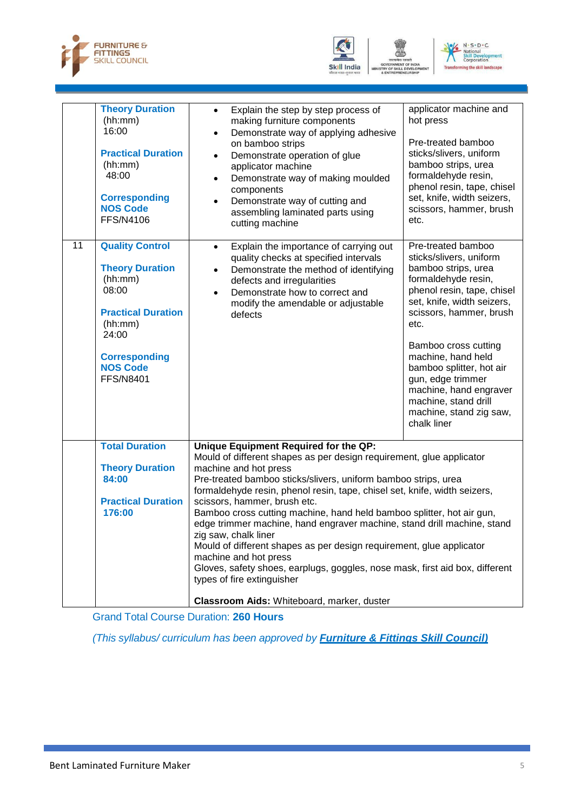





|    | <b>Theory Duration</b><br>(hh:mm)<br>16:00<br><b>Practical Duration</b><br>(hh:mm)<br>48:00<br><b>Corresponding</b><br><b>NOS Code</b><br><b>FFS/N4106</b>                           | Explain the step by step process of<br>$\bullet$<br>making furniture components<br>Demonstrate way of applying adhesive<br>$\bullet$<br>on bamboo strips<br>Demonstrate operation of glue<br>$\bullet$<br>applicator machine<br>Demonstrate way of making moulded<br>$\bullet$<br>components<br>Demonstrate way of cutting and<br>$\bullet$<br>assembling laminated parts using<br>cutting machine                                                                                                                                                                                                                                                                                                                                                             | applicator machine and<br>hot press<br>Pre-treated bamboo<br>sticks/slivers, uniform<br>bamboo strips, urea<br>formaldehyde resin,<br>phenol resin, tape, chisel<br>set, knife, width seizers,<br>scissors, hammer, brush<br>etc.                                                                                                                                                     |
|----|--------------------------------------------------------------------------------------------------------------------------------------------------------------------------------------|----------------------------------------------------------------------------------------------------------------------------------------------------------------------------------------------------------------------------------------------------------------------------------------------------------------------------------------------------------------------------------------------------------------------------------------------------------------------------------------------------------------------------------------------------------------------------------------------------------------------------------------------------------------------------------------------------------------------------------------------------------------|---------------------------------------------------------------------------------------------------------------------------------------------------------------------------------------------------------------------------------------------------------------------------------------------------------------------------------------------------------------------------------------|
| 11 | <b>Quality Control</b><br><b>Theory Duration</b><br>(hh:mm)<br>08:00<br><b>Practical Duration</b><br>(hh:mm)<br>24:00<br><b>Corresponding</b><br><b>NOS Code</b><br><b>FFS/N8401</b> | Explain the importance of carrying out<br>$\bullet$<br>quality checks at specified intervals<br>Demonstrate the method of identifying<br>$\bullet$<br>defects and irregularities<br>Demonstrate how to correct and<br>$\bullet$<br>modify the amendable or adjustable<br>defects                                                                                                                                                                                                                                                                                                                                                                                                                                                                               | Pre-treated bamboo<br>sticks/slivers, uniform<br>bamboo strips, urea<br>formaldehyde resin,<br>phenol resin, tape, chisel<br>set, knife, width seizers,<br>scissors, hammer, brush<br>etc.<br>Bamboo cross cutting<br>machine, hand held<br>bamboo splitter, hot air<br>gun, edge trimmer<br>machine, hand engraver<br>machine, stand drill<br>machine, stand zig saw,<br>chalk liner |
|    | <b>Total Duration</b><br><b>Theory Duration</b><br>84:00<br><b>Practical Duration</b><br>176:00                                                                                      | Unique Equipment Required for the QP:<br>Mould of different shapes as per design requirement, glue applicator<br>machine and hot press<br>Pre-treated bamboo sticks/slivers, uniform bamboo strips, urea<br>formaldehyde resin, phenol resin, tape, chisel set, knife, width seizers,<br>scissors, hammer, brush etc.<br>Bamboo cross cutting machine, hand held bamboo splitter, hot air gun,<br>edge trimmer machine, hand engraver machine, stand drill machine, stand<br>zig saw, chalk liner<br>Mould of different shapes as per design requirement, glue applicator<br>machine and hot press<br>Gloves, safety shoes, earplugs, goggles, nose mask, first aid box, different<br>types of fire extinguisher<br>Classroom Aids: Whiteboard, marker, duster |                                                                                                                                                                                                                                                                                                                                                                                       |

Grand Total Course Duration: **260 Hours**

*(This syllabus/ curriculum has been approved by Furniture & Fittings Skill Council)*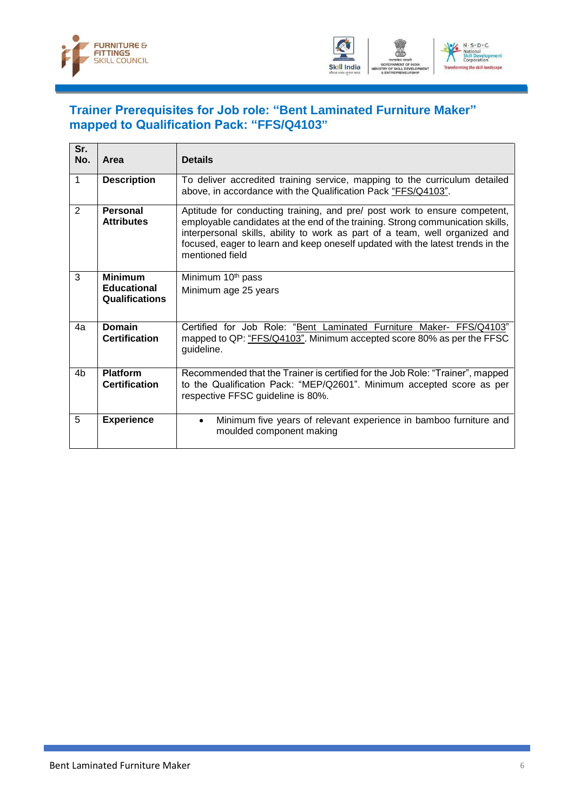



#### <span id="page-8-0"></span>**Trainer Prerequisites for Job role: "Bent Laminated Furniture Maker" mapped to Qualification Pack: "FFS/Q4103"**

| Sr.<br>No.     | Area                                    | <b>Details</b>                                                                                                                                                                                                                                                                                                                                  |
|----------------|-----------------------------------------|-------------------------------------------------------------------------------------------------------------------------------------------------------------------------------------------------------------------------------------------------------------------------------------------------------------------------------------------------|
| 1              | <b>Description</b>                      | To deliver accredited training service, mapping to the curriculum detailed<br>above, in accordance with the Qualification Pack "FFS/Q4103".                                                                                                                                                                                                     |
| 2              | Personal<br><b>Attributes</b>           | Aptitude for conducting training, and pre/ post work to ensure competent,<br>employable candidates at the end of the training. Strong communication skills,<br>interpersonal skills, ability to work as part of a team, well organized and<br>focused, eager to learn and keep oneself updated with the latest trends in the<br>mentioned field |
| 3              | <b>Minimum</b>                          | Minimum 10 <sup>th</sup> pass                                                                                                                                                                                                                                                                                                                   |
|                | <b>Educational</b><br>Qualifications    | Minimum age 25 years                                                                                                                                                                                                                                                                                                                            |
| 4а             | <b>Domain</b><br><b>Certification</b>   | Certified for Job Role: "Bent Laminated Furniture Maker- FFS/Q4103"<br>mapped to QP: "FFS/Q4103". Minimum accepted score 80% as per the FFSC<br>guideline.                                                                                                                                                                                      |
| 4 <sub>b</sub> | <b>Platform</b><br><b>Certification</b> | Recommended that the Trainer is certified for the Job Role: "Trainer", mapped<br>to the Qualification Pack: "MEP/Q2601". Minimum accepted score as per<br>respective FFSC guideline is 80%.                                                                                                                                                     |
| 5              | <b>Experience</b>                       | Minimum five years of relevant experience in bamboo furniture and<br>$\bullet$<br>moulded component making                                                                                                                                                                                                                                      |